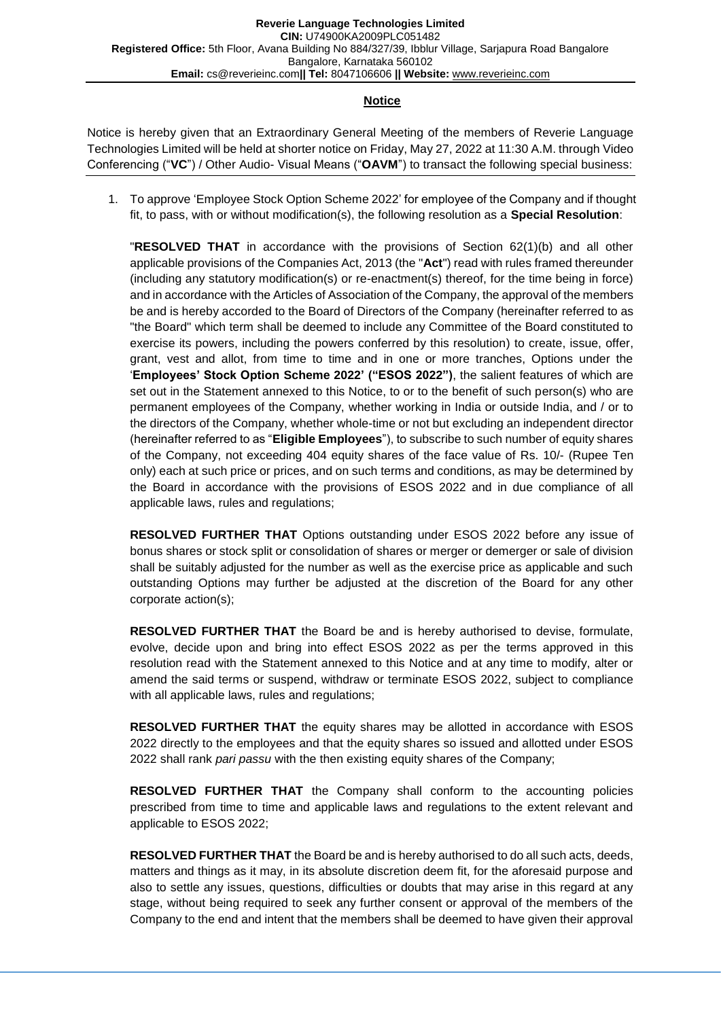#### **Notice**

Notice is hereby given that an Extraordinary General Meeting of the members of Reverie Language Technologies Limited will be held at shorter notice on Friday, May 27, 2022 at 11:30 A.M. through Video Conferencing ("**VC**") / Other Audio- Visual Means ("**OAVM**") to transact the following special business:

1. To approve 'Employee Stock Option Scheme 2022' for employee of the Company and if thought fit, to pass, with or without modification(s), the following resolution as a **Special Resolution**:

"**RESOLVED THAT** in accordance with the provisions of Section 62(1)(b) and all other applicable provisions of the Companies Act, 2013 (the "**Act**") read with rules framed thereunder (including any statutory modification(s) or re-enactment(s) thereof, for the time being in force) and in accordance with the Articles of Association of the Company, the approval of the members be and is hereby accorded to the Board of Directors of the Company (hereinafter referred to as "the Board" which term shall be deemed to include any Committee of the Board constituted to exercise its powers, including the powers conferred by this resolution) to create, issue, offer, grant, vest and allot, from time to time and in one or more tranches, Options under the '**Employees' Stock Option Scheme 2022' ("ESOS 2022")**, the salient features of which are set out in the Statement annexed to this Notice, to or to the benefit of such person(s) who are permanent employees of the Company, whether working in India or outside India, and / or to the directors of the Company, whether whole-time or not but excluding an independent director (hereinafter referred to as "**Eligible Employees**"), to subscribe to such number of equity shares of the Company, not exceeding 404 equity shares of the face value of Rs. 10/- (Rupee Ten only) each at such price or prices, and on such terms and conditions, as may be determined by the Board in accordance with the provisions of ESOS 2022 and in due compliance of all applicable laws, rules and regulations;

**RESOLVED FURTHER THAT** Options outstanding under ESOS 2022 before any issue of bonus shares or stock split or consolidation of shares or merger or demerger or sale of division shall be suitably adjusted for the number as well as the exercise price as applicable and such outstanding Options may further be adjusted at the discretion of the Board for any other corporate action(s);

**RESOLVED FURTHER THAT** the Board be and is hereby authorised to devise, formulate, evolve, decide upon and bring into effect ESOS 2022 as per the terms approved in this resolution read with the Statement annexed to this Notice and at any time to modify, alter or amend the said terms or suspend, withdraw or terminate ESOS 2022, subject to compliance with all applicable laws, rules and regulations;

**RESOLVED FURTHER THAT** the equity shares may be allotted in accordance with ESOS 2022 directly to the employees and that the equity shares so issued and allotted under ESOS 2022 shall rank *pari passu* with the then existing equity shares of the Company;

**RESOLVED FURTHER THAT** the Company shall conform to the accounting policies prescribed from time to time and applicable laws and regulations to the extent relevant and applicable to ESOS 2022;

**RESOLVED FURTHER THAT** the Board be and is hereby authorised to do all such acts, deeds, matters and things as it may, in its absolute discretion deem fit, for the aforesaid purpose and also to settle any issues, questions, difficulties or doubts that may arise in this regard at any stage, without being required to seek any further consent or approval of the members of the Company to the end and intent that the members shall be deemed to have given their approval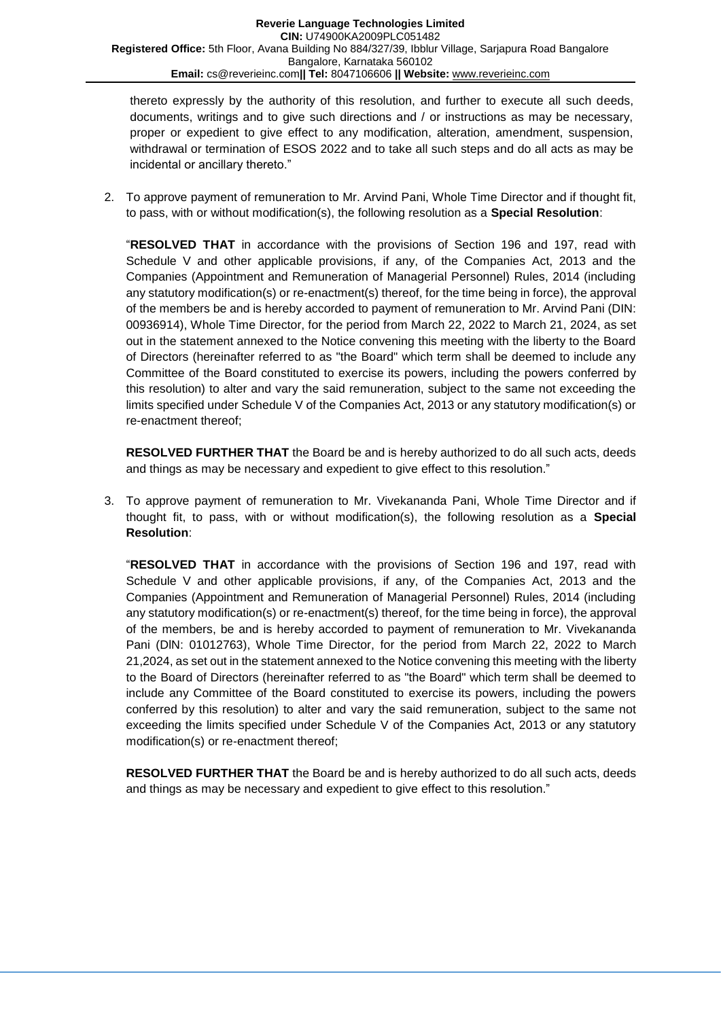thereto expressly by the authority of this resolution, and further to execute all such deeds, documents, writings and to give such directions and / or instructions as may be necessary, proper or expedient to give effect to any modification, alteration, amendment, suspension, withdrawal or termination of ESOS 2022 and to take all such steps and do all acts as may be incidental or ancillary thereto."

2. To approve payment of remuneration to Mr. Arvind Pani, Whole Time Director and if thought fit, to pass, with or without modification(s), the following resolution as a **Special Resolution**:

"**RESOLVED THAT** in accordance with the provisions of Section 196 and 197, read with Schedule V and other applicable provisions, if any, of the Companies Act, 2013 and the Companies (Appointment and Remuneration of Managerial Personnel) Rules, 2014 (including any statutory modification(s) or re-enactment(s) thereof, for the time being in force), the approval of the members be and is hereby accorded to payment of remuneration to Mr. Arvind Pani (DIN: 00936914), Whole Time Director, for the period from March 22, 2022 to March 21, 2024, as set out in the statement annexed to the Notice convening this meeting with the liberty to the Board of Directors (hereinafter referred to as "the Board" which term shall be deemed to include any Committee of the Board constituted to exercise its powers, including the powers conferred by this resolution) to alter and vary the said remuneration, subject to the same not exceeding the limits specified under Schedule V of the Companies Act, 2013 or any statutory modification(s) or re-enactment thereof;

**RESOLVED FURTHER THAT** the Board be and is hereby authorized to do all such acts, deeds and things as may be necessary and expedient to give effect to this resolution."

3. To approve payment of remuneration to Mr. Vivekananda Pani, Whole Time Director and if thought fit, to pass, with or without modification(s), the following resolution as a **Special Resolution**:

"**RESOLVED THAT** in accordance with the provisions of Section 196 and 197, read with Schedule V and other applicable provisions, if any, of the Companies Act, 2013 and the Companies (Appointment and Remuneration of Managerial Personnel) Rules, 2014 (including any statutory modification(s) or re-enactment(s) thereof, for the time being in force), the approval of the members, be and is hereby accorded to payment of remuneration to Mr. Vivekananda Pani (DlN: 01012763), Whole Time Director, for the period from March 22, 2022 to March 21,2024, as set out in the statement annexed to the Notice convening this meeting with the liberty to the Board of Directors (hereinafter referred to as "the Board" which term shall be deemed to include any Committee of the Board constituted to exercise its powers, including the powers conferred by this resolution) to alter and vary the said remuneration, subject to the same not exceeding the limits specified under Schedule V of the Companies Act, 2013 or any statutory modification(s) or re-enactment thereof;

**RESOLVED FURTHER THAT** the Board be and is hereby authorized to do all such acts, deeds and things as may be necessary and expedient to give effect to this resolution."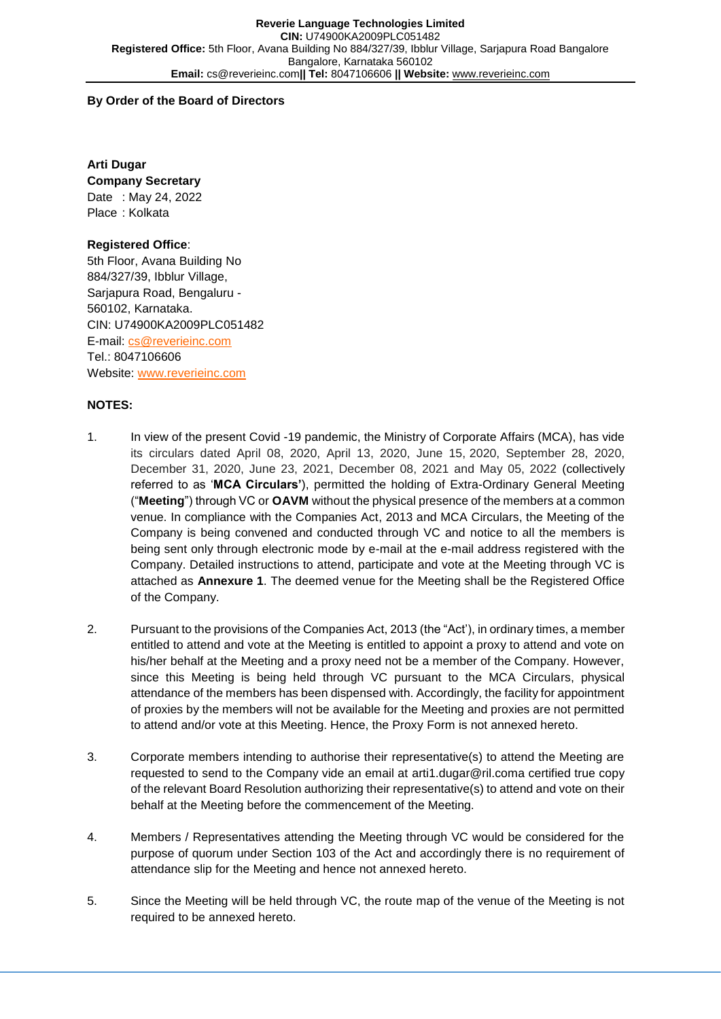## **By Order of the Board of Directors**

**Arti Dugar Company Secretary** Date : May 24, 2022 Place : Kolkata

## **Registered Office**:

5th Floor, Avana Building No 884/327/39, Ibblur Village, Sarjapura Road, Bengaluru - 560102, Karnataka. CIN: U74900KA2009PLC051482 E-mail: [cs@reverieinc.com](mailto:cs@reverieinc.com) Tel.: 8047106606 Website: [www.reverieinc.com](http://www.reverieinc.com/)

## **NOTES:**

- 1. In view of the present Covid -19 pandemic, the Ministry of Corporate Affairs (MCA), has vide its circulars dated April 08, 2020, April 13, 2020, June 15, 2020, September 28, 2020, December 31, 2020, June 23, 2021, December 08, 2021 and May 05, 2022 (collectively referred to as '**MCA Circulars'**), permitted the holding of Extra-Ordinary General Meeting ("**Meeting**") through VC or **OAVM** without the physical presence of the members at a common venue. In compliance with the Companies Act, 2013 and MCA Circulars, the Meeting of the Company is being convened and conducted through VC and notice to all the members is being sent only through electronic mode by e-mail at the e-mail address registered with the Company. Detailed instructions to attend, participate and vote at the Meeting through VC is attached as **Annexure 1**. The deemed venue for the Meeting shall be the Registered Office of the Company.
- 2. Pursuant to the provisions of the Companies Act, 2013 (the "Act'), in ordinary times, a member entitled to attend and vote at the Meeting is entitled to appoint a proxy to attend and vote on his/her behalf at the Meeting and a proxy need not be a member of the Company. However, since this Meeting is being held through VC pursuant to the MCA Circulars, physical attendance of the members has been dispensed with. Accordingly, the facility for appointment of proxies by the members will not be available for the Meeting and proxies are not permitted to attend and/or vote at this Meeting. Hence, the Proxy Form is not annexed hereto.
- 3. Corporate members intending to authorise their representative(s) to attend the Meeting are requested to send to the Company vide an email at arti1.dugar@ril.coma certified true copy of the relevant Board Resolution authorizing their representative(s) to attend and vote on their behalf at the Meeting before the commencement of the Meeting.
- 4. Members / Representatives attending the Meeting through VC would be considered for the purpose of quorum under Section 103 of the Act and accordingly there is no requirement of attendance slip for the Meeting and hence not annexed hereto.
- 5. Since the Meeting will be held through VC, the route map of the venue of the Meeting is not required to be annexed hereto.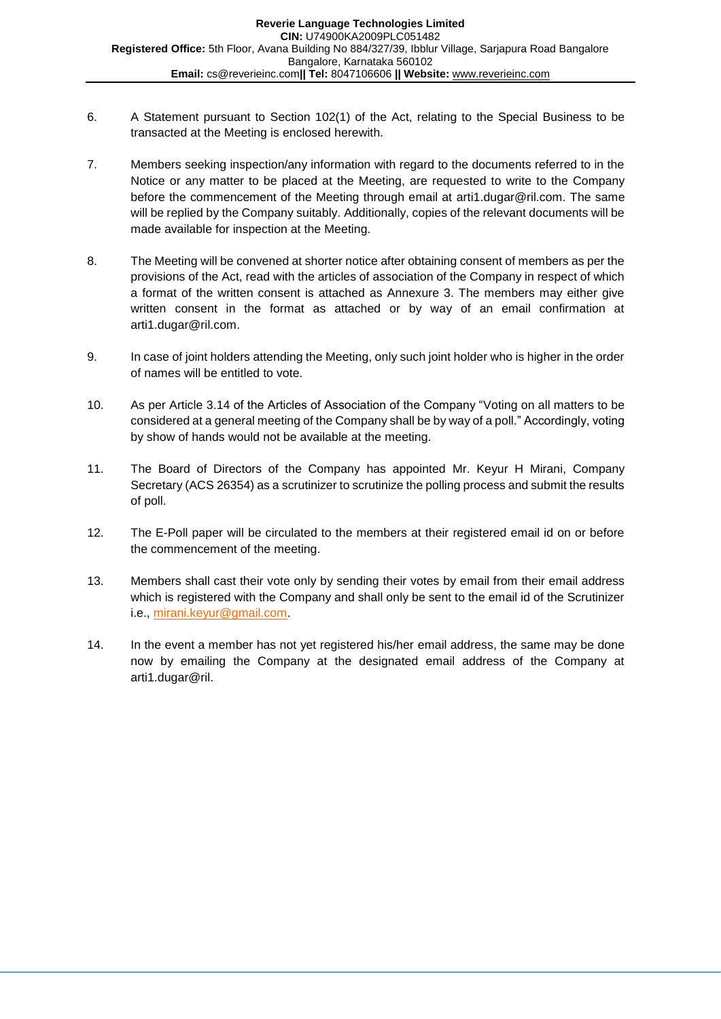- 6. A Statement pursuant to Section 102(1) of the Act, relating to the Special Business to be transacted at the Meeting is enclosed herewith.
- 7. Members seeking inspection/any information with regard to the documents referred to in the Notice or any matter to be placed at the Meeting, are requested to write to the Company before the commencement of the Meeting through email at arti1.dugar@ril.com. The same will be replied by the Company suitably. Additionally, copies of the relevant documents will be made available for inspection at the Meeting.
- 8. The Meeting will be convened at shorter notice after obtaining consent of members as per the provisions of the Act, read with the articles of association of the Company in respect of which a format of the written consent is attached as Annexure 3. The members may either give written consent in the format as attached or by way of an email confirmation at arti1.dugar@ril.com.
- 9. In case of joint holders attending the Meeting, only such joint holder who is higher in the order of names will be entitled to vote.
- 10. As per Article 3.14 of the Articles of Association of the Company "Voting on all matters to be considered at a general meeting of the Company shall be by way of a poll." Accordingly, voting by show of hands would not be available at the meeting.
- 11. The Board of Directors of the Company has appointed Mr. Keyur H Mirani, Company Secretary (ACS 26354) as a scrutinizer to scrutinize the polling process and submit the results of poll.
- 12. The E-Poll paper will be circulated to the members at their registered email id on or before the commencement of the meeting.
- 13. Members shall cast their vote only by sending their votes by email from their email address which is registered with the Company and shall only be sent to the email id of the Scrutinizer i.e., [mirani.keyur@gmail.com.](mailto:mirani.keyur@gmail.com)
- 14. In the event a member has not yet registered his/her email address, the same may be done now by emailing the Company at the designated email address of the Company at arti1.dugar@ril.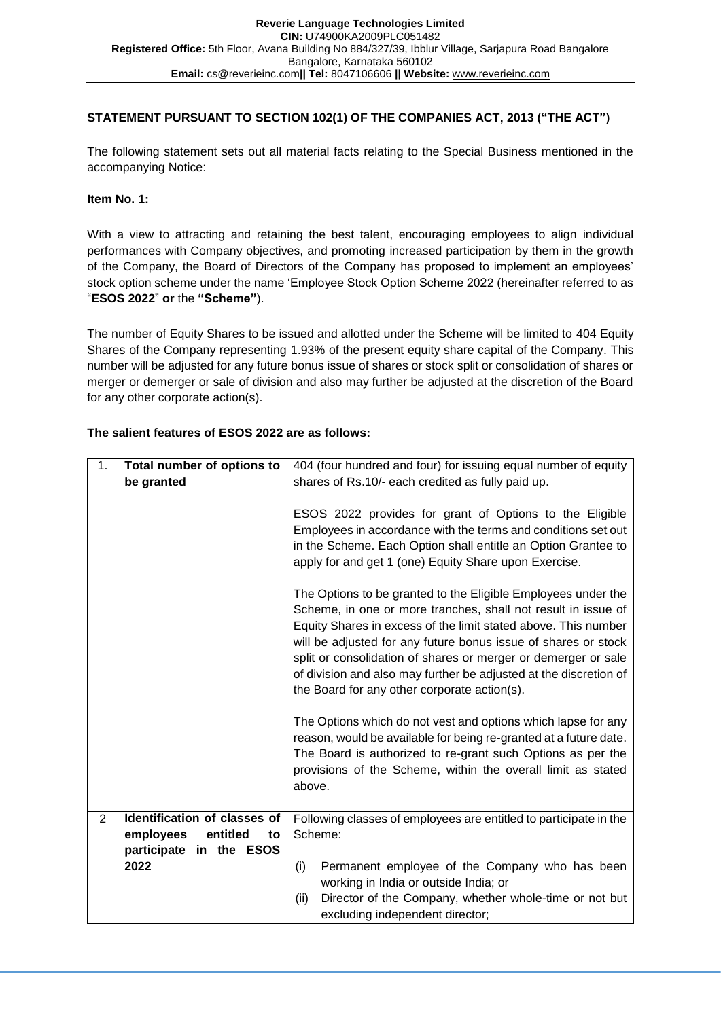# **STATEMENT PURSUANT TO SECTION 102(1) OF THE COMPANIES ACT, 2013 ("THE ACT")**

The following statement sets out all material facts relating to the Special Business mentioned in the accompanying Notice:

## **Item No. 1:**

With a view to attracting and retaining the best talent, encouraging employees to align individual performances with Company objectives, and promoting increased participation by them in the growth of the Company, the Board of Directors of the Company has proposed to implement an employees' stock option scheme under the name 'Employee Stock Option Scheme 2022 (hereinafter referred to as "**ESOS 2022**" **or** the **"Scheme"**).

The number of Equity Shares to be issued and allotted under the Scheme will be limited to 404 Equity Shares of the Company representing 1.93% of the present equity share capital of the Company. This number will be adjusted for any future bonus issue of shares or stock split or consolidation of shares or merger or demerger or sale of division and also may further be adjusted at the discretion of the Board for any other corporate action(s).

# **The salient features of ESOS 2022 are as follows:**

| 1 <sub>1</sub> | Total number of options to   | 404 (four hundred and four) for issuing equal number of equity                                                                                                                                                                                                                                                                                                                                                                                            |  |
|----------------|------------------------------|-----------------------------------------------------------------------------------------------------------------------------------------------------------------------------------------------------------------------------------------------------------------------------------------------------------------------------------------------------------------------------------------------------------------------------------------------------------|--|
|                | be granted                   | shares of Rs.10/- each credited as fully paid up.                                                                                                                                                                                                                                                                                                                                                                                                         |  |
|                |                              |                                                                                                                                                                                                                                                                                                                                                                                                                                                           |  |
|                |                              | ESOS 2022 provides for grant of Options to the Eligible                                                                                                                                                                                                                                                                                                                                                                                                   |  |
|                |                              | Employees in accordance with the terms and conditions set out                                                                                                                                                                                                                                                                                                                                                                                             |  |
|                |                              | in the Scheme. Each Option shall entitle an Option Grantee to                                                                                                                                                                                                                                                                                                                                                                                             |  |
|                |                              | apply for and get 1 (one) Equity Share upon Exercise.                                                                                                                                                                                                                                                                                                                                                                                                     |  |
|                |                              | The Options to be granted to the Eligible Employees under the<br>Scheme, in one or more tranches, shall not result in issue of<br>Equity Shares in excess of the limit stated above. This number<br>will be adjusted for any future bonus issue of shares or stock<br>split or consolidation of shares or merger or demerger or sale<br>of division and also may further be adjusted at the discretion of<br>the Board for any other corporate action(s). |  |
|                |                              | The Options which do not vest and options which lapse for any<br>reason, would be available for being re-granted at a future date.<br>The Board is authorized to re-grant such Options as per the<br>provisions of the Scheme, within the overall limit as stated<br>above.                                                                                                                                                                               |  |
| $\overline{2}$ | Identification of classes of | Following classes of employees are entitled to participate in the                                                                                                                                                                                                                                                                                                                                                                                         |  |
|                | employees<br>entitled<br>to  | Scheme:                                                                                                                                                                                                                                                                                                                                                                                                                                                   |  |
|                | participate<br>in the ESOS   |                                                                                                                                                                                                                                                                                                                                                                                                                                                           |  |
|                | 2022                         | Permanent employee of the Company who has been<br>(i)                                                                                                                                                                                                                                                                                                                                                                                                     |  |
|                |                              | working in India or outside India; or                                                                                                                                                                                                                                                                                                                                                                                                                     |  |
|                |                              | Director of the Company, whether whole-time or not but<br>(ii)<br>excluding independent director;                                                                                                                                                                                                                                                                                                                                                         |  |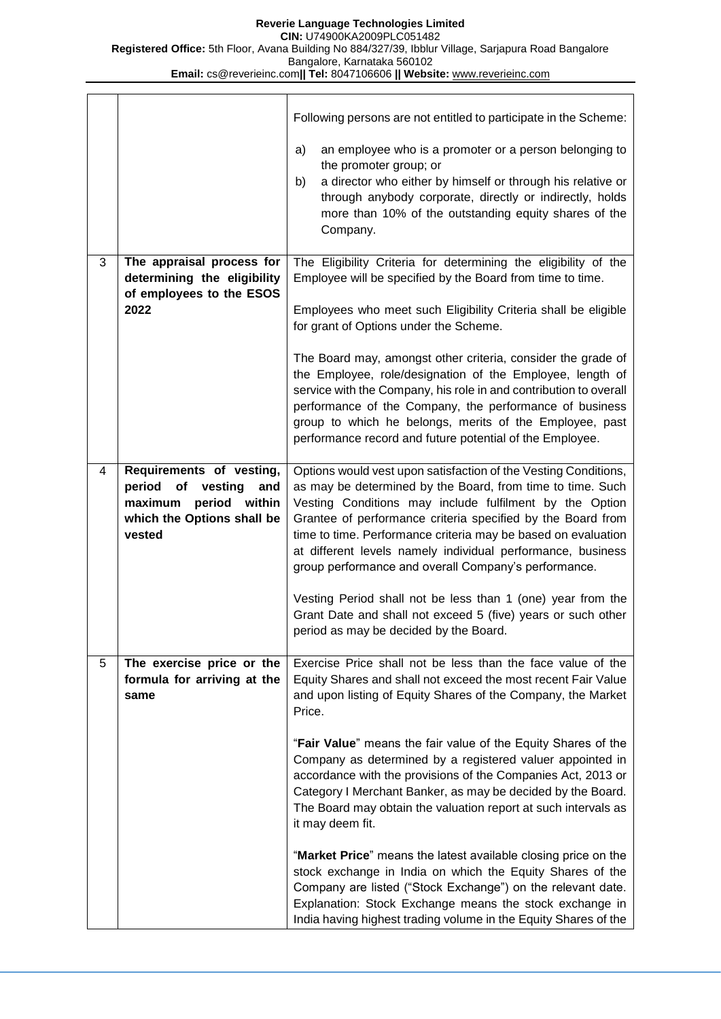|   |                                                         | Following persons are not entitled to participate in the Scheme:                                                                                                                                                                                    |  |
|---|---------------------------------------------------------|-----------------------------------------------------------------------------------------------------------------------------------------------------------------------------------------------------------------------------------------------------|--|
|   |                                                         | an employee who is a promoter or a person belonging to<br>a)<br>the promoter group; or                                                                                                                                                              |  |
|   |                                                         | a director who either by himself or through his relative or<br>b)<br>through anybody corporate, directly or indirectly, holds                                                                                                                       |  |
|   |                                                         | more than 10% of the outstanding equity shares of the<br>Company.                                                                                                                                                                                   |  |
| 3 | The appraisal process for                               | The Eligibility Criteria for determining the eligibility of the                                                                                                                                                                                     |  |
|   | determining the eligibility<br>of employees to the ESOS | Employee will be specified by the Board from time to time.                                                                                                                                                                                          |  |
|   | 2022                                                    | Employees who meet such Eligibility Criteria shall be eligible<br>for grant of Options under the Scheme.                                                                                                                                            |  |
|   |                                                         | The Board may, amongst other criteria, consider the grade of                                                                                                                                                                                        |  |
|   |                                                         | the Employee, role/designation of the Employee, length of<br>service with the Company, his role in and contribution to overall                                                                                                                      |  |
|   |                                                         | performance of the Company, the performance of business<br>group to which he belongs, merits of the Employee, past                                                                                                                                  |  |
|   |                                                         | performance record and future potential of the Employee.                                                                                                                                                                                            |  |
| 4 | Requirements of vesting,                                | Options would vest upon satisfaction of the Vesting Conditions,                                                                                                                                                                                     |  |
|   | period<br>of vesting<br>and<br>period within<br>maximum | as may be determined by the Board, from time to time. Such<br>Vesting Conditions may include fulfilment by the Option                                                                                                                               |  |
|   | which the Options shall be<br>vested                    | Grantee of performance criteria specified by the Board from<br>time to time. Performance criteria may be based on evaluation<br>at different levels namely individual performance, business<br>group performance and overall Company's performance. |  |
|   |                                                         | Vesting Period shall not be less than 1 (one) year from the<br>Grant Date and shall not exceed 5 (five) years or such other<br>period as may be decided by the Board.                                                                               |  |
| 5 | The exercise price or the                               | Exercise Price shall not be less than the face value of the                                                                                                                                                                                         |  |
|   | formula for arriving at the<br>same                     | Equity Shares and shall not exceed the most recent Fair Value<br>and upon listing of Equity Shares of the Company, the Market                                                                                                                       |  |
|   |                                                         | Price.                                                                                                                                                                                                                                              |  |
|   |                                                         | "Fair Value" means the fair value of the Equity Shares of the                                                                                                                                                                                       |  |
|   |                                                         | Company as determined by a registered valuer appointed in<br>accordance with the provisions of the Companies Act, 2013 or                                                                                                                           |  |
|   |                                                         | Category I Merchant Banker, as may be decided by the Board.<br>The Board may obtain the valuation report at such intervals as<br>it may deem fit.                                                                                                   |  |
|   |                                                         | "Market Price" means the latest available closing price on the                                                                                                                                                                                      |  |
|   |                                                         | stock exchange in India on which the Equity Shares of the<br>Company are listed ("Stock Exchange") on the relevant date.                                                                                                                            |  |
|   |                                                         | Explanation: Stock Exchange means the stock exchange in<br>India having highest trading volume in the Equity Shares of the                                                                                                                          |  |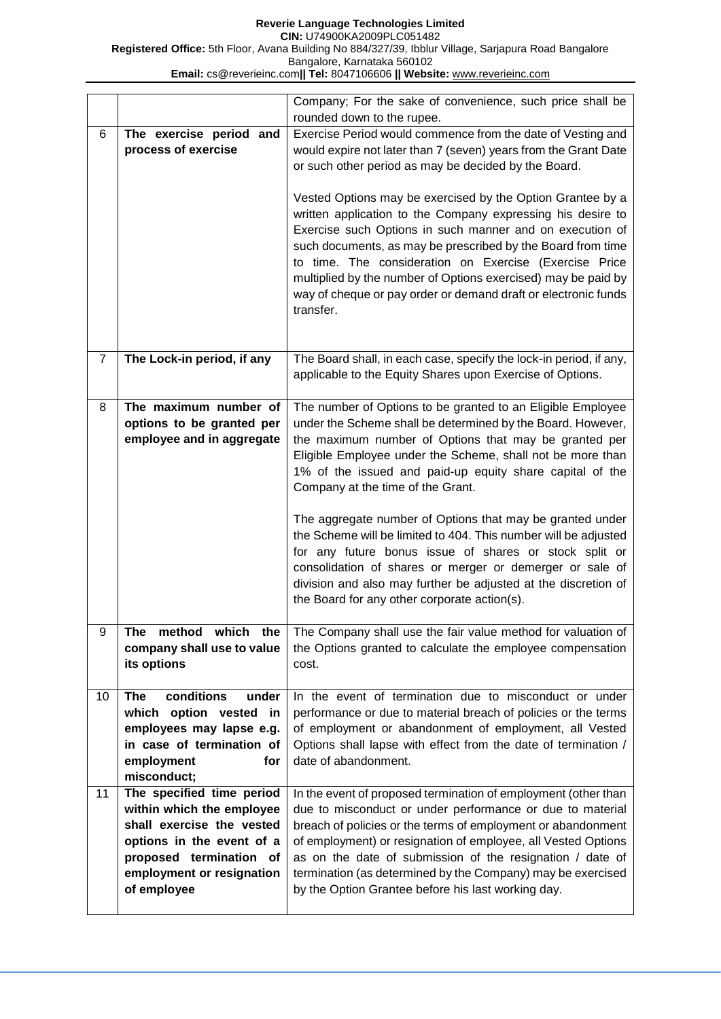**Reverie Language Technologies Limited CIN:** U74900KA2009PLC051482 **Registered Office:** 5th Floor, Avana Building No 884/327/39, Ibblur Village, Sarjapura Road Bangalore Bangalore, Karnataka 560102 **Email:** cs@reverieinc.com**|| Tel:** 8047106606 **|| Website:** [www.reverieinc.com](http://www.reverieinc.com/)

|                |                                                                                                                                                                                         | Company; For the sake of convenience, such price shall be<br>rounded down to the rupee.                                                                                                                                                                                                                                                                                                                                                                                                                                                                                                                                                                                                                                    |
|----------------|-----------------------------------------------------------------------------------------------------------------------------------------------------------------------------------------|----------------------------------------------------------------------------------------------------------------------------------------------------------------------------------------------------------------------------------------------------------------------------------------------------------------------------------------------------------------------------------------------------------------------------------------------------------------------------------------------------------------------------------------------------------------------------------------------------------------------------------------------------------------------------------------------------------------------------|
| 6              | The exercise period and<br>process of exercise                                                                                                                                          | Exercise Period would commence from the date of Vesting and<br>would expire not later than 7 (seven) years from the Grant Date<br>or such other period as may be decided by the Board.<br>Vested Options may be exercised by the Option Grantee by a<br>written application to the Company expressing his desire to<br>Exercise such Options in such manner and on execution of<br>such documents, as may be prescribed by the Board from time<br>to time. The consideration on Exercise (Exercise Price<br>multiplied by the number of Options exercised) may be paid by<br>way of cheque or pay order or demand draft or electronic funds<br>transfer.                                                                   |
| $\overline{7}$ | The Lock-in period, if any                                                                                                                                                              | The Board shall, in each case, specify the lock-in period, if any,<br>applicable to the Equity Shares upon Exercise of Options.                                                                                                                                                                                                                                                                                                                                                                                                                                                                                                                                                                                            |
| 8              | The maximum number of<br>options to be granted per<br>employee and in aggregate                                                                                                         | The number of Options to be granted to an Eligible Employee<br>under the Scheme shall be determined by the Board. However,<br>the maximum number of Options that may be granted per<br>Eligible Employee under the Scheme, shall not be more than<br>1% of the issued and paid-up equity share capital of the<br>Company at the time of the Grant.<br>The aggregate number of Options that may be granted under<br>the Scheme will be limited to 404. This number will be adjusted<br>for any future bonus issue of shares or stock split or<br>consolidation of shares or merger or demerger or sale of<br>division and also may further be adjusted at the discretion of<br>the Board for any other corporate action(s). |
| У              | The method which the<br>company shall use to value<br>its options                                                                                                                       | The Company shall use the fair value method for valuation of<br>the Options granted to calculate the employee compensation<br>cost.                                                                                                                                                                                                                                                                                                                                                                                                                                                                                                                                                                                        |
| 10             | conditions<br><b>The</b><br>under<br>which option vested<br>in<br>employees may lapse e.g.<br>in case of termination of<br>employment<br>for<br>misconduct;                             | In the event of termination due to misconduct or under<br>performance or due to material breach of policies or the terms<br>of employment or abandonment of employment, all Vested<br>Options shall lapse with effect from the date of termination /<br>date of abandonment.                                                                                                                                                                                                                                                                                                                                                                                                                                               |
| 11             | The specified time period<br>within which the employee<br>shall exercise the vested<br>options in the event of a<br>proposed termination of<br>employment or resignation<br>of employee | In the event of proposed termination of employment (other than<br>due to misconduct or under performance or due to material<br>breach of policies or the terms of employment or abandonment<br>of employment) or resignation of employee, all Vested Options<br>as on the date of submission of the resignation / date of<br>termination (as determined by the Company) may be exercised<br>by the Option Grantee before his last working day.                                                                                                                                                                                                                                                                             |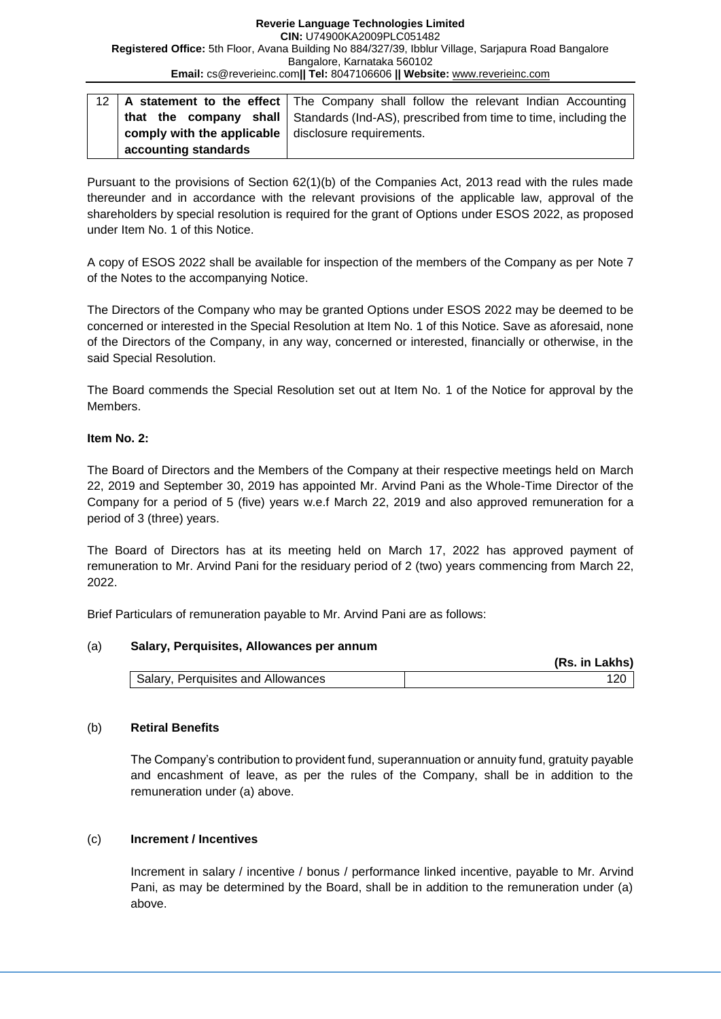#### **Reverie Language Technologies Limited CIN:** U74900KA2009PLC051482 **Registered Office:** 5th Floor, Avana Building No 884/327/39, Ibblur Village, Sarjapura Road Bangalore Bangalore, Karnataka 560102 **Email:** cs@reverieinc.com**|| Tel:** 8047106606 **|| Website:** [www.reverieinc.com](http://www.reverieinc.com/)

|                                                             |                      | 12   A statement to the effect   The Company shall follow the relevant Indian Accounting      |
|-------------------------------------------------------------|----------------------|-----------------------------------------------------------------------------------------------|
|                                                             |                      | <b>that the company shall</b> Standards (Ind-AS), prescribed from time to time, including the |
| comply with the applicable $\vert$ disclosure requirements. |                      |                                                                                               |
|                                                             | accounting standards |                                                                                               |

Pursuant to the provisions of Section 62(1)(b) of the Companies Act, 2013 read with the rules made thereunder and in accordance with the relevant provisions of the applicable law, approval of the shareholders by special resolution is required for the grant of Options under ESOS 2022, as proposed under Item No. 1 of this Notice.

A copy of ESOS 2022 shall be available for inspection of the members of the Company as per Note 7 of the Notes to the accompanying Notice.

The Directors of the Company who may be granted Options under ESOS 2022 may be deemed to be concerned or interested in the Special Resolution at Item No. 1 of this Notice. Save as aforesaid, none of the Directors of the Company, in any way, concerned or interested, financially or otherwise, in the said Special Resolution.

The Board commends the Special Resolution set out at Item No. 1 of the Notice for approval by the Members.

## **Item No. 2:**

The Board of Directors and the Members of the Company at their respective meetings held on March 22, 2019 and September 30, 2019 has appointed Mr. Arvind Pani as the Whole-Time Director of the Company for a period of 5 (five) years w.e.f March 22, 2019 and also approved remuneration for a period of 3 (three) years.

The Board of Directors has at its meeting held on March 17, 2022 has approved payment of remuneration to Mr. Arvind Pani for the residuary period of 2 (two) years commencing from March 22, 2022.

Brief Particulars of remuneration payable to Mr. Arvind Pani are as follows:

## (a) **Salary, Perquisites, Allowances per annum**

|                                    | (Rs. in Lakhs) |
|------------------------------------|----------------|
| Salary, Perquisites and Allowances |                |

## (b) **Retiral Benefits**

The Company's contribution to provident fund, superannuation or annuity fund, gratuity payable and encashment of leave, as per the rules of the Company, shall be in addition to the remuneration under (a) above.

## (c) **Increment / Incentives**

Increment in salary / incentive / bonus / performance linked incentive, payable to Mr. Arvind Pani, as may be determined by the Board, shall be in addition to the remuneration under (a) above.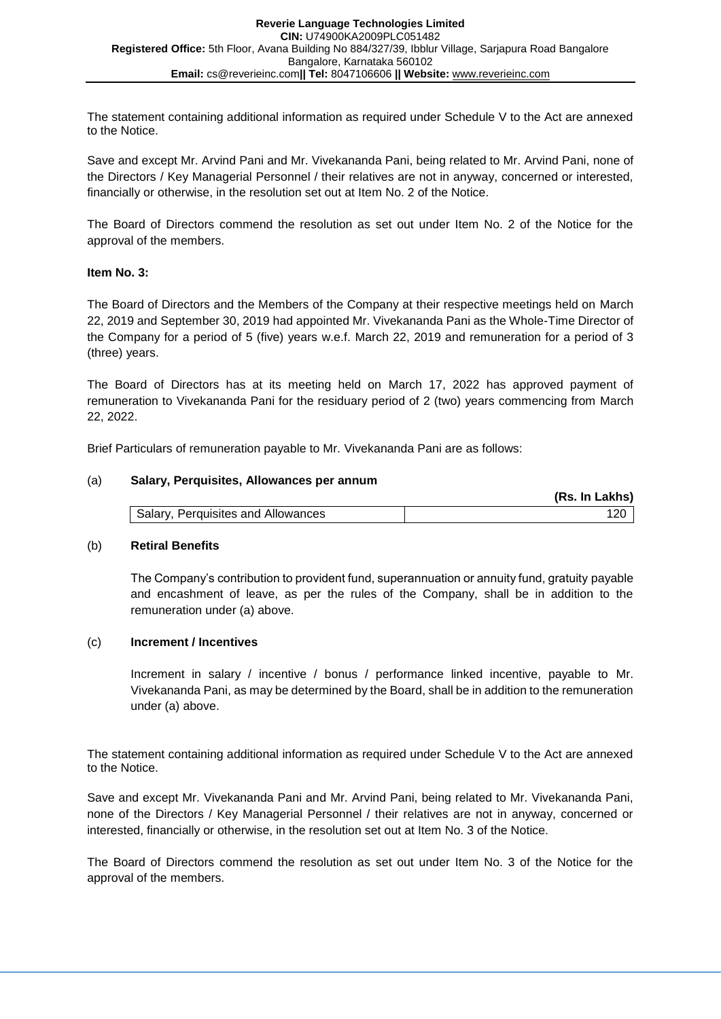The statement containing additional information as required under Schedule V to the Act are annexed to the Notice.

Save and except Mr. Arvind Pani and Mr. Vivekananda Pani, being related to Mr. Arvind Pani, none of the Directors / Key Managerial Personnel / their relatives are not in anyway, concerned or interested, financially or otherwise, in the resolution set out at Item No. 2 of the Notice.

The Board of Directors commend the resolution as set out under Item No. 2 of the Notice for the approval of the members.

#### **Item No. 3:**

The Board of Directors and the Members of the Company at their respective meetings held on March 22, 2019 and September 30, 2019 had appointed Mr. Vivekananda Pani as the Whole-Time Director of the Company for a period of 5 (five) years w.e.f. March 22, 2019 and remuneration for a period of 3 (three) years.

The Board of Directors has at its meeting held on March 17, 2022 has approved payment of remuneration to Vivekananda Pani for the residuary period of 2 (two) years commencing from March 22, 2022.

Brief Particulars of remuneration payable to Mr. Vivekananda Pani are as follows:

#### (a) **Salary, Perquisites, Allowances per annum**

|                                    | (Rs. In Lakhs) |
|------------------------------------|----------------|
| Salary, Perquisites and Allowances |                |

#### (b) **Retiral Benefits**

The Company's contribution to provident fund, superannuation or annuity fund, gratuity payable and encashment of leave, as per the rules of the Company, shall be in addition to the remuneration under (a) above.

#### (c) **Increment / Incentives**

Increment in salary / incentive / bonus / performance linked incentive, payable to Mr. Vivekananda Pani, as may be determined by the Board, shall be in addition to the remuneration under (a) above.

The statement containing additional information as required under Schedule V to the Act are annexed to the Notice.

Save and except Mr. Vivekananda Pani and Mr. Arvind Pani, being related to Mr. Vivekananda Pani, none of the Directors / Key Managerial Personnel / their relatives are not in anyway, concerned or interested, financially or otherwise, in the resolution set out at Item No. 3 of the Notice.

The Board of Directors commend the resolution as set out under Item No. 3 of the Notice for the approval of the members.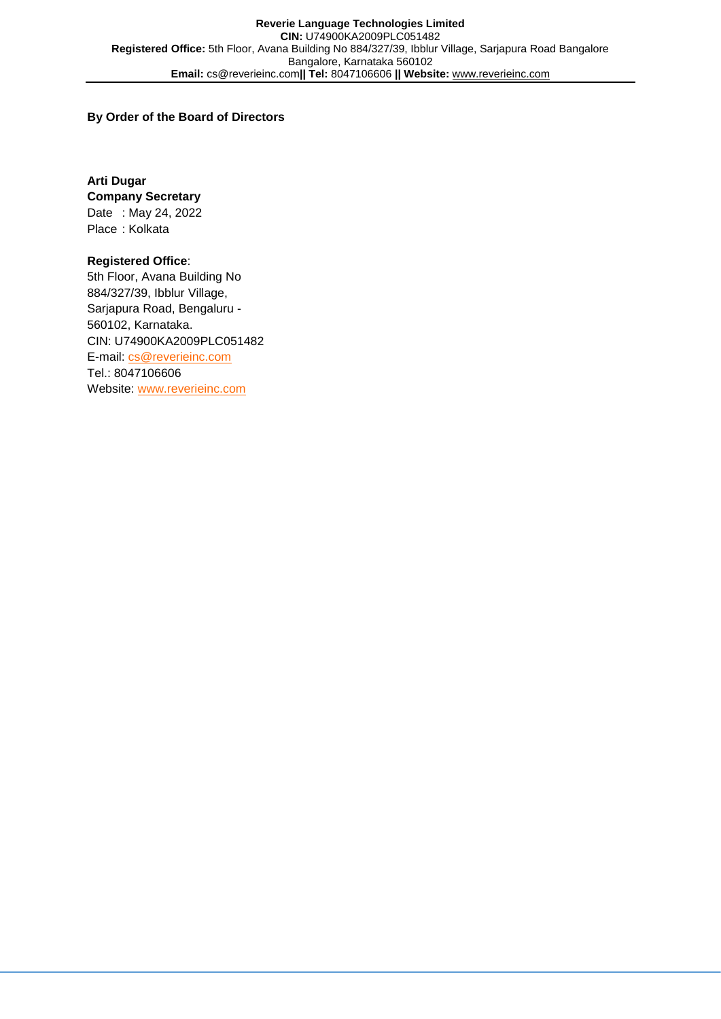#### **By Order of the Board of Directors**

**Arti Dugar Company Secretary** Date : May 24, 2022 Place : Kolkata

## **Registered Office**:

5th Floor, Avana Building No 884/327/39, Ibblur Village, Sarjapura Road, Bengaluru - 560102, Karnataka. CIN: U74900KA2009PLC051482 E-mail: [cs@reverieinc.com](mailto:cs@reverieinc.com) Tel.: 8047106606 Website: [www.reverieinc.com](http://www.reverieinc.com/)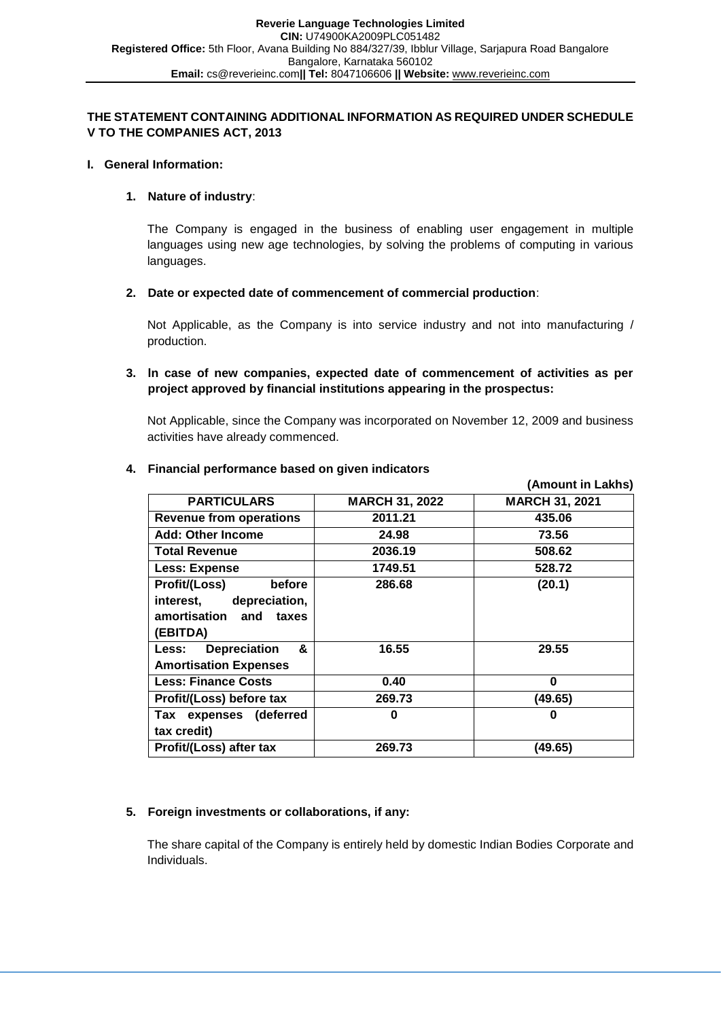## **THE STATEMENT CONTAINING ADDITIONAL INFORMATION AS REQUIRED UNDER SCHEDULE V TO THE COMPANIES ACT, 2013**

#### **I. General Information:**

#### **1. Nature of industry**:

The Company is engaged in the business of enabling user engagement in multiple languages using new age technologies, by solving the problems of computing in various languages.

**2. Date or expected date of commencement of commercial production**:

Not Applicable, as the Company is into service industry and not into manufacturing / production.

## **3. ln case of new companies, expected date of commencement of activities as per project approved by financial institutions appearing in the prospectus:**

Not Applicable, since the Company was incorporated on November 12, 2009 and business activities have already commenced.

|                                          |                       | (Amount in Lakhs)     |
|------------------------------------------|-----------------------|-----------------------|
| <b>PARTICULARS</b>                       | <b>MARCH 31, 2022</b> | <b>MARCH 31, 2021</b> |
| <b>Revenue from operations</b>           | 2011.21               | 435.06                |
| <b>Add: Other Income</b>                 | 24.98                 | 73.56                 |
| <b>Total Revenue</b>                     | 2036.19               | 508.62                |
| <b>Less: Expense</b>                     | 1749.51               | 528.72                |
| Profit/(Loss)<br>before                  | 286.68                | (20.1)                |
| depreciation,<br>interest,               |                       |                       |
| amortisation and<br>taxes                |                       |                       |
| (EBITDA)                                 |                       |                       |
| <b>Depreciation</b><br>&<br><b>Less:</b> | 16.55                 | 29.55                 |
| <b>Amortisation Expenses</b>             |                       |                       |
| <b>Less: Finance Costs</b>               | 0.40                  | $\bf{0}$              |
| Profit/(Loss) before tax                 | 269.73                | (49.65)               |
| expenses (deferred<br>Tax                | 0                     | 0                     |
| tax credit)                              |                       |                       |
| Profit/(Loss) after tax                  | 269.73                | (49.65)               |

#### **4. Financial performance based on given indicators**

## **5. Foreign investments or collaborations, if any:**

The share capital of the Company is entirely held by domestic Indian Bodies Corporate and Individuals.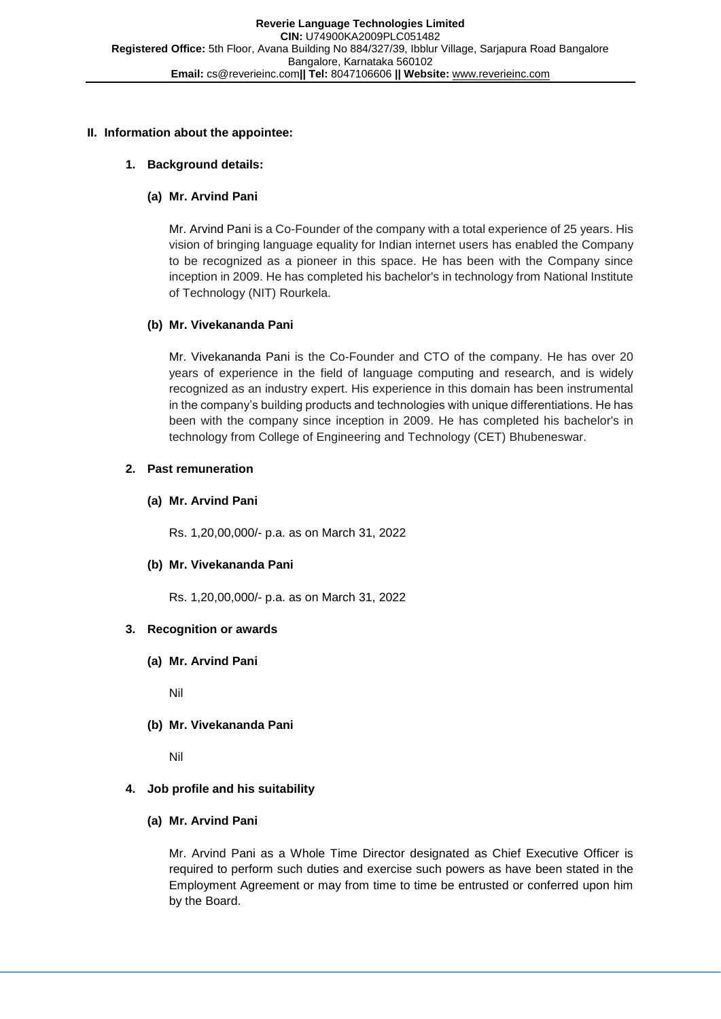## **II. Information about the appointee:**

## **1. Background details:**

# **(a) Mr. Arvind Pani**

Mr. Arvind Pani is a Co-Founder of the company with a total experience of 25 years. His vision of bringing language equality for Indian internet users has enabled the Company to be recognized as a pioneer in this space. He has been with the Company since inception in 2009. He has completed his bachelor's in technology from National Institute of Technology (NIT) Rourkela.

## **(b) Mr. Vivekananda Pani**

Mr. Vivekananda Pani is the Co-Founder and CTO of the company. He has over 20 years of experience in the field of language computing and research, and is widely recognized as an industry expert. His experience in this domain has been instrumental in the company's building products and technologies with unique differentiations. He has been with the company since inception in 2009. He has completed his bachelor's in technology from College of Engineering and Technology (CET) Bhubeneswar.

## **2. Past remuneration**

## **(a) Mr. Arvind Pani**

Rs. 1,20,00,000/- p.a. as on March 31, 2022

## **(b) Mr. Vivekananda Pani**

Rs. 1,20,00,000/- p.a. as on March 31, 2022

## **3. Recognition or awards**

**(a) Mr. Arvind Pani**

Nil

**(b) Mr. Vivekananda Pani**

Nil

# **4. Job profile and his suitability**

## **(a) Mr. Arvind Pani**

Mr. Arvind Pani as a Whole Time Director designated as Chief Executive Officer is required to perform such duties and exercise such powers as have been stated in the Employment Agreement or may from time to time be entrusted or conferred upon him by the Board.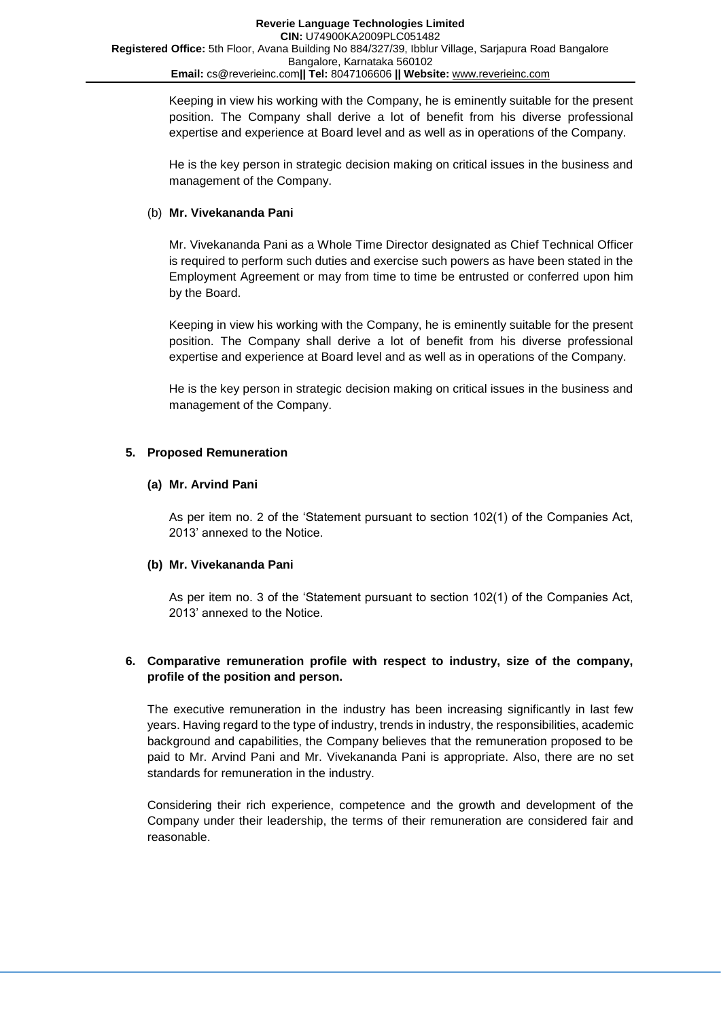Keeping in view his working with the Company, he is eminently suitable for the present position. The Company shall derive a lot of benefit from his diverse professional expertise and experience at Board level and as well as in operations of the Company.

He is the key person in strategic decision making on critical issues in the business and management of the Company.

## (b) **Mr. Vivekananda Pani**

Mr. Vivekananda Pani as a Whole Time Director designated as Chief Technical Officer is required to perform such duties and exercise such powers as have been stated in the Employment Agreement or may from time to time be entrusted or conferred upon him by the Board.

Keeping in view his working with the Company, he is eminently suitable for the present position. The Company shall derive a lot of benefit from his diverse professional expertise and experience at Board level and as well as in operations of the Company.

He is the key person in strategic decision making on critical issues in the business and management of the Company.

## **5. Proposed Remuneration**

## **(a) Mr. Arvind Pani**

As per item no. 2 of the 'Statement pursuant to section 102(1) of the Companies Act, 2013' annexed to the Notice.

## **(b) Mr. Vivekananda Pani**

As per item no. 3 of the 'Statement pursuant to section 102(1) of the Companies Act, 2013' annexed to the Notice.

## **6. Comparative remuneration profile with respect to industry, size of the company, profile of the position and person.**

The executive remuneration in the industry has been increasing significantly in last few years. Having regard to the type of industry, trends in industry, the responsibilities, academic background and capabilities, the Company believes that the remuneration proposed to be paid to Mr. Arvind Pani and Mr. Vivekananda Pani is appropriate. Also, there are no set standards for remuneration in the industry.

Considering their rich experience, competence and the growth and development of the Company under their leadership, the terms of their remuneration are considered fair and reasonable.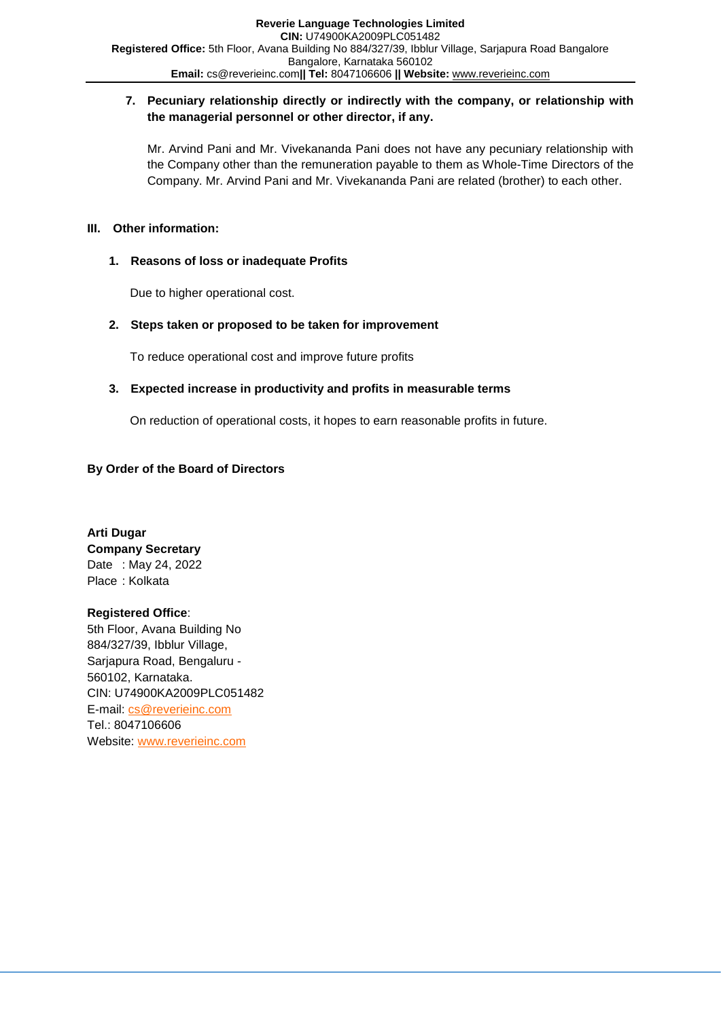## **7. Pecuniary relationship directly or indirectly with the company, or relationship with the managerial personnel or other director, if any.**

Mr. Arvind Pani and Mr. Vivekananda Pani does not have any pecuniary relationship with the Company other than the remuneration payable to them as Whole-Time Directors of the Company. Mr. Arvind Pani and Mr. Vivekananda Pani are related (brother) to each other.

## **III. Other information:**

## **1. Reasons of loss or inadequate Profits**

Due to higher operational cost.

## **2. Steps taken or proposed to be taken for improvement**

To reduce operational cost and improve future profits

## **3. Expected increase in productivity and profits in measurable terms**

On reduction of operational costs, it hopes to earn reasonable profits in future.

## **By Order of the Board of Directors**

**Arti Dugar Company Secretary** Date : May 24, 2022 Place : Kolkata

# **Registered Office**:

5th Floor, Avana Building No 884/327/39, Ibblur Village, Sarjapura Road, Bengaluru - 560102, Karnataka. CIN: U74900KA2009PLC051482 E-mail: [cs@reverieinc.com](mailto:cs@reverieinc.com) Tel.: 8047106606 Website: [www.reverieinc.com](http://www.reverieinc.com/)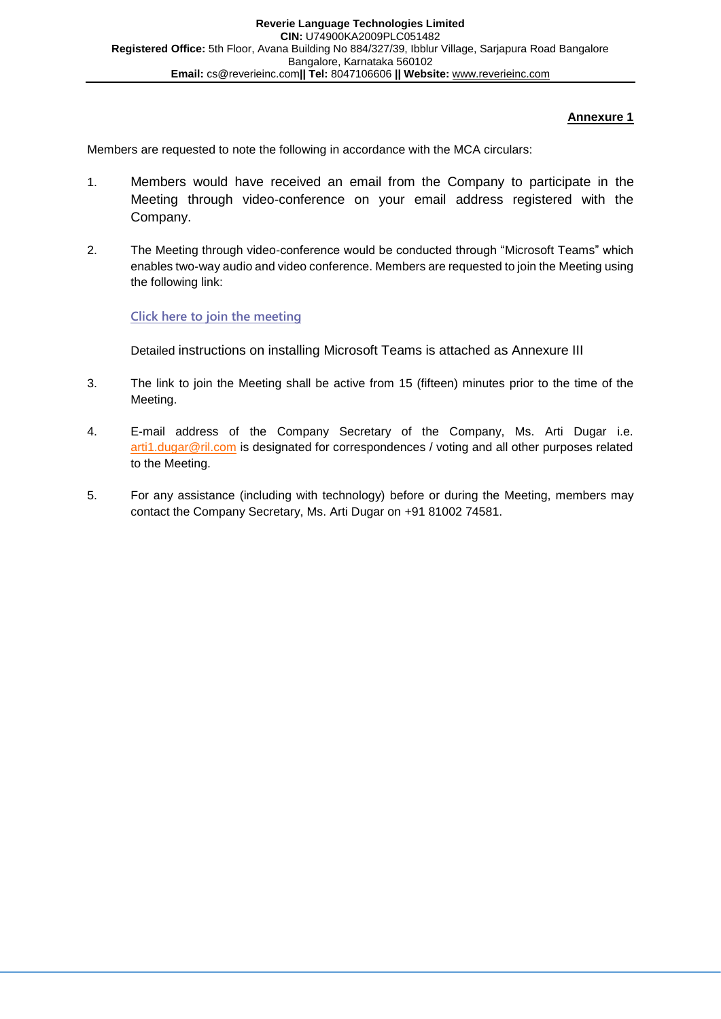# **Annexure 1**

Members are requested to note the following in accordance with the MCA circulars:

- 1. Members would have received an email from the Company to participate in the Meeting through video-conference on your email address registered with the Company.
- 2. The Meeting through video-conference would be conducted through "Microsoft Teams" which enables two-way audio and video conference. Members are requested to join the Meeting using the following link:

## **Click here to join the [meeting](https://teams.microsoft.com/l/meetup-join/19%3ameeting_MWI4NDFhYzAtMjM3Ni00N2ZlLWI3NmMtNGQ3Y2I2N2Y5NDY4%40thread.v2/0?context=%7b%22Tid%22%3a%22fe1d95a9-4ce1-41a5-8eab-6dd43aa26d9f%22%2c%22Oid%22%3a%22b861e542-ac1f-4116-a177-ff9538347de2%22%7d)**

Detailed instructions on installing Microsoft Teams is attached as Annexure III

- 3. The link to join the Meeting shall be active from 15 (fifteen) minutes prior to the time of the Meeting.
- 4. E-mail address of the Company Secretary of the Company, Ms. Arti Dugar i.e. [arti1.dugar@ril.com](mailto:arti.dugar@reverieinc.com) is designated for correspondences / voting and all other purposes related to the Meeting.
- 5. For any assistance (including with technology) before or during the Meeting, members may contact the Company Secretary, Ms. Arti Dugar on +91 81002 74581.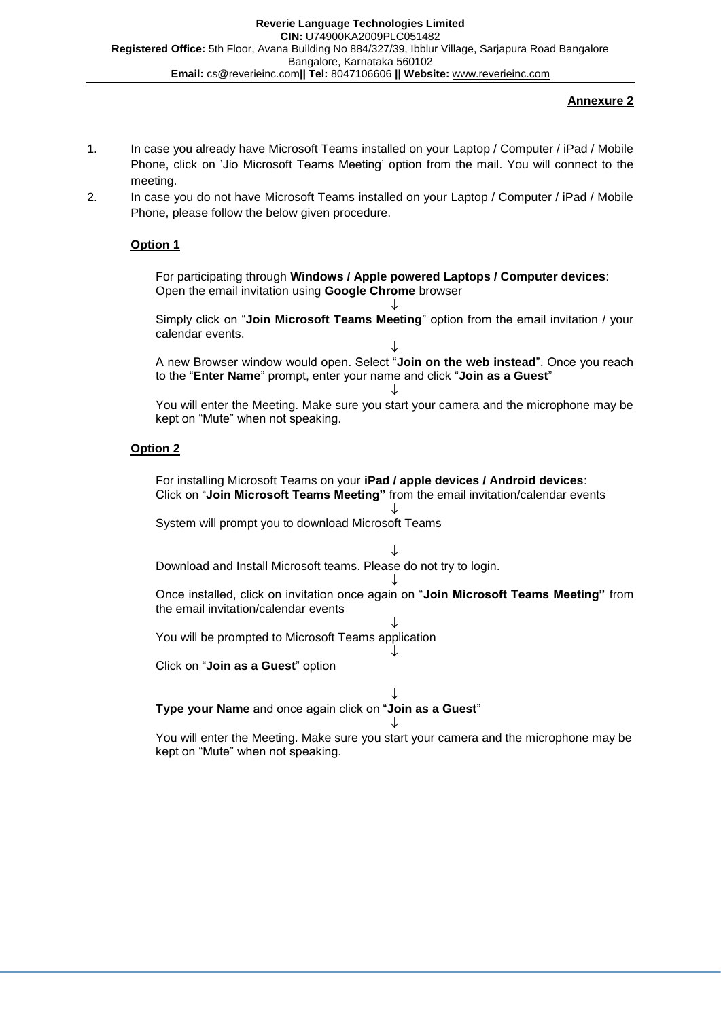#### **Annexure 2**

- 1. In case you already have Microsoft Teams installed on your Laptop / Computer / iPad / Mobile Phone, click on 'Jio Microsoft Teams Meeting' option from the mail. You will connect to the meeting.
- 2. In case you do not have Microsoft Teams installed on your Laptop / Computer / iPad / Mobile Phone, please follow the below given procedure.

## **Option 1**

For participating through **Windows / Apple powered Laptops / Computer devices**: Open the email invitation using **Google Chrome** browser

↓ Simply click on "**Join Microsoft Teams Meeting**" option from the email invitation / your calendar events.

↓ A new Browser window would open. Select "**Join on the web instead**". Once you reach to the "**Enter Name**" prompt, enter your name and click "**Join as a Guest**"

 $\downarrow$ You will enter the Meeting. Make sure you start your camera and the microphone may be kept on "Mute" when not speaking.

#### **Option 2**

For installing Microsoft Teams on your **iPad / apple devices / Android devices**: Click on "**Join Microsoft Teams Meeting"** from the email invitation/calendar events

 $\downarrow$ 

System will prompt you to download Microsoft Teams

 $\downarrow$ Download and Install Microsoft teams. Please do not try to login.

↓ Once installed, click on invitation once again on "**Join Microsoft Teams Meeting"** from the email invitation/calendar events

↓

↓ You will be prompted to Microsoft Teams application

Click on "**Join as a Guest**" option

 $\downarrow$ **Type your Name** and once again click on "**Join as a Guest**"

↓ You will enter the Meeting. Make sure you start your camera and the microphone may be kept on "Mute" when not speaking.